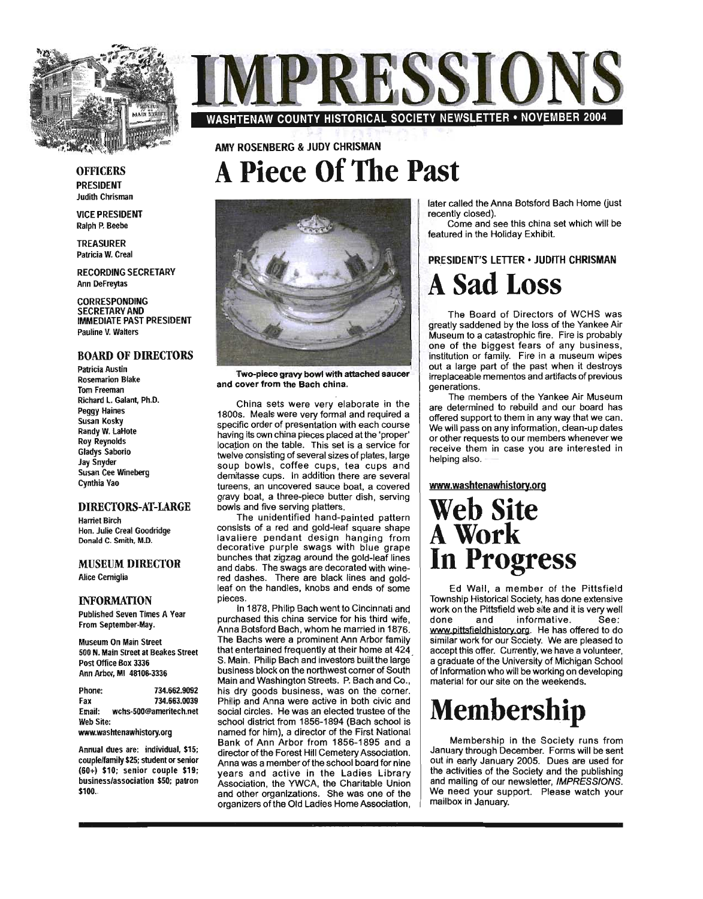

### OFFICERS PRESIDENT

Judith Chrisman

VICE PRESIDENT Ralph P. Beebe

TREASURER Patricia W. Creal

RECORDING SECRETARY Ann DeFreytas

**CORRESPONDING** SECRETARY AND IMMEDIATE PAST PRESIDENT Pauline V. Walters

### BOARD OF DIRECTORS

Patricia Austin Rosemarion Blake Tom Freeman Richard L. Galant, Ph.D. Peggy Haines Susan Kosky Randy W. LaHote Roy Reynolds Gladys Saborio Jay Snyder Susan Cee Wineberg Cynthia Vao

### DIRECTORS-AT-LARGE

Harriet Birch Hon. Julie Creal Goodridge Donald C. Smith, M.D.

### MUSEUM DIRECTOR Alice Cerniglia

#### **INFORMATION**

Published Seven Times A Vear From September-May.

Museum On Main Street 500 N. Main Street at Beakes Street Post Office Box 3336 Ann Arbor, MI 48106-3336

| Phone:                   | 734.662.9092           |
|--------------------------|------------------------|
| Fax                      | 734.663.0039           |
| Email:                   | wchs-500@ameritech.net |
| Web Site:                |                        |
| www.washtenawhistory.org |                        |

Annual dues are: individual, \$15;

couplelfamily \$25; student or senior (60+) \$10; senior couple \$19; business/association 550; patron \$100.



### AMY ROSENBERG & JUDY CHRISMAN **A Piece Of The Past**



Two-piece gravy bowl with attached saucer and cover from the Bach china.

China sets were very elaborate in the 1800s. Meals were very formal and required a specific order of presentation with each course having its own china pieces placed at the 'proper' location on the table. This set is a service for twelve consisting of several sizes of plates, large soup bowls, coffee cups, tea cups and demitasse cups. In addition there are several tureens, an uncovered sauce boat, a covered gravy boat, a three-piece butter dish, serving bowls and five serving platters.

The unidentified hand-painted pattern consists of a red and gOld-leaf square shape lavaliere pendant design hanging from decorative purple swags with blue grape bunches that zigzag around the gold-leaf lines and dabs. The swags are decorated with winered dashes. There are black lines and goldleaf on the handles, knobs and ends of some pieces.

In 1878, Philip Bach went to Cincinnati and purchased this china service for his third wife, Anna Botsford Bach, whom he married in 1876. The Bachs were a prominent Ann Arbor family that entertained frequently at their home at 424 S. Main. Philip Bach and investors built the large business block on the northwest corner of South Main and Washington Streets. P. Bach and Co., his dry goods business, was on the corner. Philip and Anna were active in both civic and social circles. He was an elected trustee of the school district from 1856-1894 (Bach school is named for him), a director of the First National Bank of Ann Arbor from 1856-1895 and a director of the Forest Hill Cemetery Association. Anna was a member of the school board for nine years and active in the Ladies Library Association, the YWCA, the Charitable Union and other organizations. She was one of the organizers of the Old Ladies Home Association, later called the Anna Botsford Bach Home (just recently closed).

Come and see this china set which will be featured in the Holiday Exhibit.

### PRESIDENT'S LETTER · JUDITH CHRISMAN **A Sad Loss**

The Board of Directors of WCHS was greatly saddened by the loss of the Yankee Air Museum to a catastrophic fire. Fire is probably one of the biggest fears of any business, institution or family. Fire in a museum wipes out a large part of the past when it destroys irreplaceable mementos and artifacts of previous generations.

The members of the Yankee Air Museum are detennined to rebuild and our board has offered support to them in any way that we can. We will pass on any information, clean-up dates or other requests to our members whenever we receive them in case you are interested in helping also.

### www.washtenawhistory.org

## **Web Site**  A Work **In Progress**

Ed Wall, a member of the Pittsfield Township Historical Society, has done extensive work on the Pittsfield web site and it is very well done and informative. See: www.pittsfieldhistory.org. He has offered to do **In Expression Care Society.** We are pleased to accept this offer. Currently, we have a volunteer, a graduate of the University of Michigan School of Information who will be working on developing material for our site on the weekends.

# **Membership**

Membership in the Society runs from January through December. Forms will be sent out in early January 2005. Dues are used for the activities of the Society and the publishing and mailing of our newsletter, IMPRESSIONS. We need your support. Please watch your mailbox in January.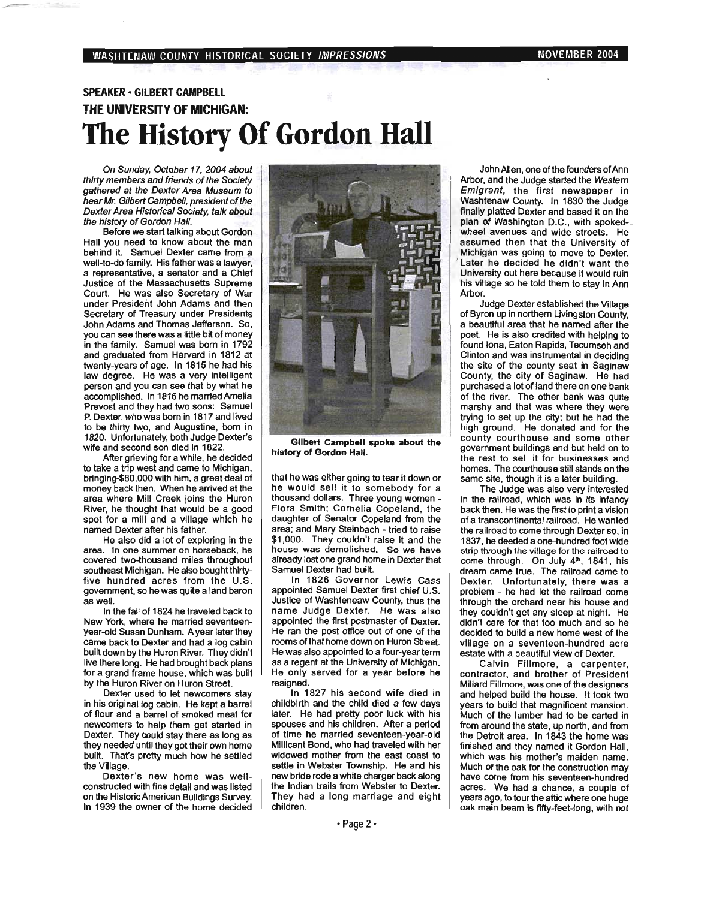### SPEAKER· GILBERT CAMPBElL THE UNIVERSITY OF MICHIGAN: **The History Of Gordon Hall**

On Sunday, October 17,2004 about thirty members and friends of the Society gathered at the Dexter Area Museum to hear Mr. Gilbert Campbell, president of the Dexter Area Historical Society, talk about the history of Gordon Hal/.

Before we start talking about Gordon Hall you need to know about the man behind it. Samuel Dexter came from a well-to-do family. His father was a lawyer, a representative, a senator and a Chief Justice of the Massachusetts Supreme Court. He was also Secretary of War under President John Adams and then Secretary of Treasury under Presidents John Adams and Thomas Jefferson. So, you can see there was a little bit of money in the family. Samuel was born in 1792 and graduated from Harvard in 1812 at twenty-years of age. In 1815 he had his law degree. He was a very intelligent person and you can see that by what he accomplished. In 1816 he married Amelia Prevost and they had two sons: Samuel P. Dexter, who was born in 1817 and lived to be thirty two, and Augustine, born in 1820. Unfortunately, both Judge Dexter's wife and second son died in 1822.

After grieving for a while, he decided to take a trip west and came to Michigan, bringing-\$80,OOO with him, a great deal of money back then. When he arrived at the area where Mill Creek joins the Huron River, he thought that would be a good spot for a mill and a village which he named Dexter after his father.

He also did a lot of exploring in the area. In one summer on horseback, he covered two-thousand miles throughout southeast Michigan. He also bought thirtyfive hundred acres from the U.S. government, so he was quite a land baron as well.

In the fall of 1824 he traveled back to New. York, where he married seventeenyear-old Susan Dunham. A year later they came back to Dexter and had a log cabin built down by the Huron River. They didn't live there long. He had brought back plans for a grand frame house, which was built by the Huron River on Huron Street.

Dexter used to let newcomers stay in his original log cabin. He kept a barrel of flour and a barrel of smoked meat for newcomers to help them get started in Dexter. They could stay there as long as they needed until they got their own home built. That's pretty much how he settled the Village.

Dexter's new home was wellconstructed with fine detail and was listed on the HistoricAmerican Buildings Survey. In 1939 the owner of the home decided



Gilbert Campbell spoke about the history of Gordon Hall.

that he was either going to tear it down or he would sell it to somebody for a thousand dollars. Three young women - Flora Smith; Cornelia Copeland, the daughter of Senator Copeland from the area; and Mary Steinbach - tried to raise \$1,000. They couldn't raise it and the house was demolished. So we have already lost one grand home in Dexter that Samuel Dexter had built.

In 1826 Governor Lewis Cass appointed Samuel Dexter first chief U.S. Justice of Washteneaw County, thus the name Judge Dexter. He was also appointed the first postmaster of Dexter. He ran the post office out of one of the rooms of that home down on Huron Street. He was also appointed to a four-year term as a regent at the University of Michigan. He only served for a year before he resigned.

In 1827 his second wife died in childbirth and the child died a few days later. He had pretty poor luck with his spouses and his children. After a period of time he married seventeen-year-old Millicent Bond, who had traveled with her widowed mother from the east coast to settle in Webster Township. He and his new bride rode a white charger back along the Indian trails from Webster to Dexter. They had a long marriage and eight children.

John Allen, one of the founders of Ann Arbor, and the Judge started the Western Emigrant, the first newspaper in Washtenaw County. In 1830 the Judge finally platted Dexter and based it on the plan of Washington D.C., with spoked-\_ wheel avenues and wide streets. He assumed then that the University of Michigan was going to move to Dexter. Later he decided he didn't want the University out here because it would ruin his village so he told them to stay in Ann Arbor.

Judge Dexter established the Village of Byron up in northern Livingston County, a beautiful area that he named after the poet. He is also credited with helping to found lona, Eaton Rapids, Tecumseh and Clinton and was instrumental in deciding the site of the county seat in Saginaw County, the city of Saginaw. He had purchased a lot of land there on one bank of the river. The other bank was quite marshy and that was where they were trying to set up the city; but he had the high ground. He donated and for the county courthouse and some other government buildings and but held on to the rest to sell it for businesses and homes. The courthouse still stands on the same site, though it is a later building.

The Judge was also very interested in the railroad, which was in its infancy back then. He was the first to print a vision of a transcontinental railroad. He wanted the railroad to come through Dexter so, in 1837, he deeded a one-hundred foot wide strip through the village for the railroad to come through. On July 4<sup>th</sup>, 1841, his dream came true. The railroad came to Dexter. Unfortunately, there was a problem - he had let the railroad come through the orchard near his house and they COUldn't get any sleep at night. He didn't care for that too much and so he decided to build a new home west of the village on a seventeen-hundred acre estate with a beautiful view of Dexter.

Calvin Fillmore, a carpenter, contractor, and brother of President Millard Fillmore, was one of the designers and helped build the house. It took two years to build that magnificent mansion. Much of the lumber had to be carted in from around the state, up north, and from the Detroit area. In 1843 the home was finished and they named it Gordon Hall, which was his mother's maiden name. Much of the oak for the construction may have come from his seventeen-hundred acres. We had a chance, a couple of years ago, to tour the attic where one huge oak main beam is fifty-feet-Iong, with not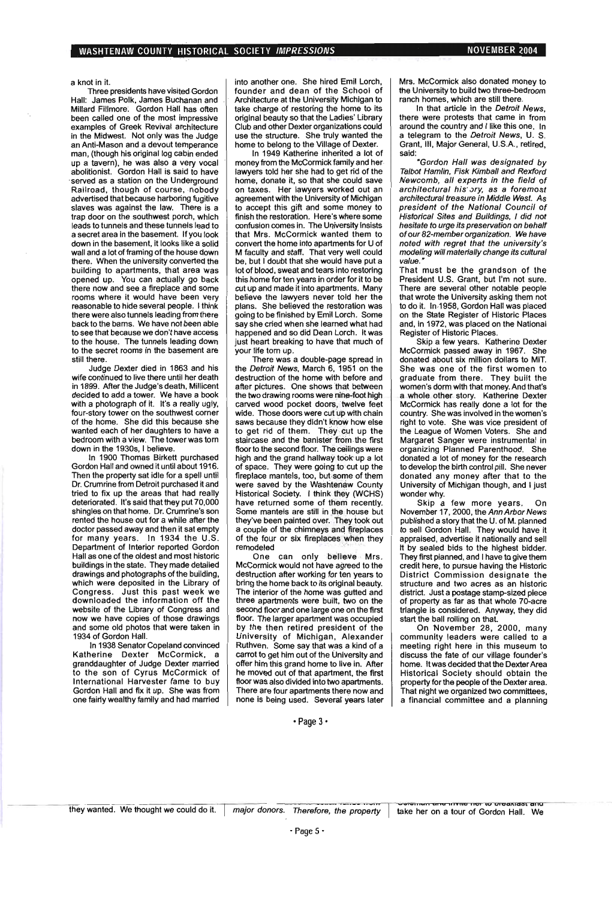a knot in it.

Three presidents have visited Gordon Hall: James Polk, James Buchanan and Millard Fillmore. Gordon Hall has often been called one of the most impressive examples of Greek Revival architecture in the Midwest. Not only was the Judge an Anti-Mason and a devout temperance man, (though his original log cabin ended up a tavern), he was also a very vocal abolitionist. Gordon Hall is said to have served as a station on the Underground Railroad, though of course, nobody advertised that because harboring fugitive slaves was against the law. There is a trap door on the southwest porch, which leads to tunnels and these tunnels lead to a secret area in the basement. If you look down in the basement, it looks like a solid wall and a lot of framing of the house down there. When the university converted the building to apartments, that area was opened up. You can actually go back there now and see a fireplace and some rooms where it would have been very reasonable to hide several people. I think there were also tunnels leading from there back to the bams. We have not been able to see that because we don't have access to the house. The tunnels leading down to the secret rooms in the basement are still there.

Judge Dexter died in 1863 and his wife continued to live there until her death in 1899. After the Judge's death, Millicent decided to add a tower. We have a book with a photograph of it. It's a really ugly, four-story tower on the southwest corner of the home. She did this because she wanted each of her daughters to have a bedroom with a view. The tower was torn down in the 1930s, I believe.

In 1900 Thomas Birkett purchased Gordon Hall and owned it until about 1916. Then the property sat idle for a spell until Dr. Crumrine from Detroit purchased it and tried to fix up the areas that had really deteriorated. It's said that they put 70,000 shingles on that home. Dr. Crumrine's son rented the house out for a while after the doctor passed away and then it sat empty for many years. In 1934 the U.S. Department of Interior reported Gordon Hall as one of the oldest and most historic buildings in the state. They made detailed drawings and photographs of the building, which were deposited in the Library of Congress. Just this past week we downloaded the information off the website of the Library of Congress and now we have copies of those drawings and some old photos that were taken in 1934 of Gordon Hall.

In 1938 Senator Copeland convinced Katherine Dexter McCormick, a granddaughter of Judge Dexter married to the son of Cyrus McCormick of International Harvester fame to buy Gordon Hall and fix it up. She was from one fairly wealthy family and had married

into another one. She hired Emil Lorch, founder and dean of the School of Architecture at the University Michigan to take charge of restoring the home to its original beauty so that the Ladies' Library Club and other Dexter organizations could use the structure. She truly wanted the home to belong to the Village of Dexter.

In 1949 Katherine inherited a lot of money from the McCormick family and her lawyers told her she had to get rid of the home, donate it, so that she could save on taxes. Her lawyers worked out an agreement with the University of Michigan to accept this gift and some money to finish the restoration. Here's where some confusion comes in. The University insists that Mrs. McCormick wanted them to convert the home into apartments for U of M faculty and staff. That very well could be, but I doubt that she would have put a lot of blood, sweat and tears into restoring this home for ten years in order for it to be cut up and made it into apartments. Many believe the lawyers never told her the plans. She believed the restoration was going to be finished by Emil Lorch. Some say she cried when she learned what had happened and so did Dean Lorch. It was just heart breaking to have that much of your life tom up.

There was a double-page spread in the Detroit News, March 6, 1951 on the destruction of the home with before and after pictures. One shows that between the two drawing rooms were nine-foot high carved wood pocket doors, twelve feet wide. Those doors were cut up with chain saws because they didn't know how else to get rid of them. They cut up the staircase and the banister from the first floor to the second floor. The ceilings were high and the grand hallway took up a lot of space. They were going to cut up the fireplace mantels, too, but· some of them were saved by the Washtenaw County Historical Society. I think they (WCHS) have returned some of them recently. Some mantels are still in the house but they've been painted over. They took out a couple of the chimneys and fireplaces of the four or six fireplaces when they remodeled

One can only believe Mrs. McCormick would not have agreed to the destruction after working for ten years to bring the home back to its Original beauty. The interior of the home was gutted and three apartments were built, two on the second floor and one large one on the first floor. The larger apartment was occupied by the then retired president of the University of Michigan, Alexander Ruthven. Some say that was a kind of a carrot to get him out of the University and offer him this grand home to live in. After he moved out of that apartment, the first floor was also divided into two apartments. There are four apartments there now and none is being used. Several years later

Mrs. McCormick also donated money to the University to build two three-bedroom ranch homes, which are still there.

In that article in the Detroit News, there were protests that came in from around the country and I like this one. In a telegram to the Detroit News, U. S. Grant, III, Major General, U.S.A., retired, said:

"Gordon Hall was designated by Talbot Hamlin, Fisk Kimball and Rexford Newcomb, aI/ experts in the field of architectural his' ory, as a foremost architectural treasure in Middle West. As president of the National Council of Historical Sites and Buildings, I did not hesitate to urge its preservation on behalf of our 82-member organization. We have noted with regret that the university's modeling will materially change its cultural value.

That must be the grandson of the President U.S. Grant, but I'm not sure. There are several other notable people that wrote the University asking them not to do it. In-1958, Gordon Hall was placed on the State Register of Historic Places and, in 1972, was placed on the National Register of Historic Places.

Skip a few years. Katherine Dexter McCormick passed away in 1967. She donated about six million dollars to MIT. She was one of the first women to graduate from there. They built the women's dorm with that money. And that's a whole other story. Katherine Dexter McCormick has really done a lot for the country. She was involved in the women's . right to vote. She was vice president of the League of Women Voters. She and Margaret Sanger were instrumental in organizing Planned Parenthood. She donated a lot of money for the research to develop the birth control pill. She never donated any money after that to the University of Michigan though, and I just wonder why.

Skip a few more years. On November 17, 2000, the Ann Arbor News published a story that the U. of M. planned to sell Gordon Hall. They would have it appraised, advertise it nationally and sell it by sealed bids to the highest bidder. They first planned, and I have to give them credit here, to pursue having the Historic District Commission designate the structure and two acres as an historic district. Just a postage stamp-sized piece of property as far as that whole 70-acre triangle is considered. Anyway, they did start the ball rolling on that.

On November 28, 2000, many community leaders were called to a meeting right here in this museum to discuss the fate of our village founder's home. It was decided that the Dexter Area Historical Society should obtain the property for the people of the Dexter area. That night we organized two committees, a financial committee and a planning

• Page 3·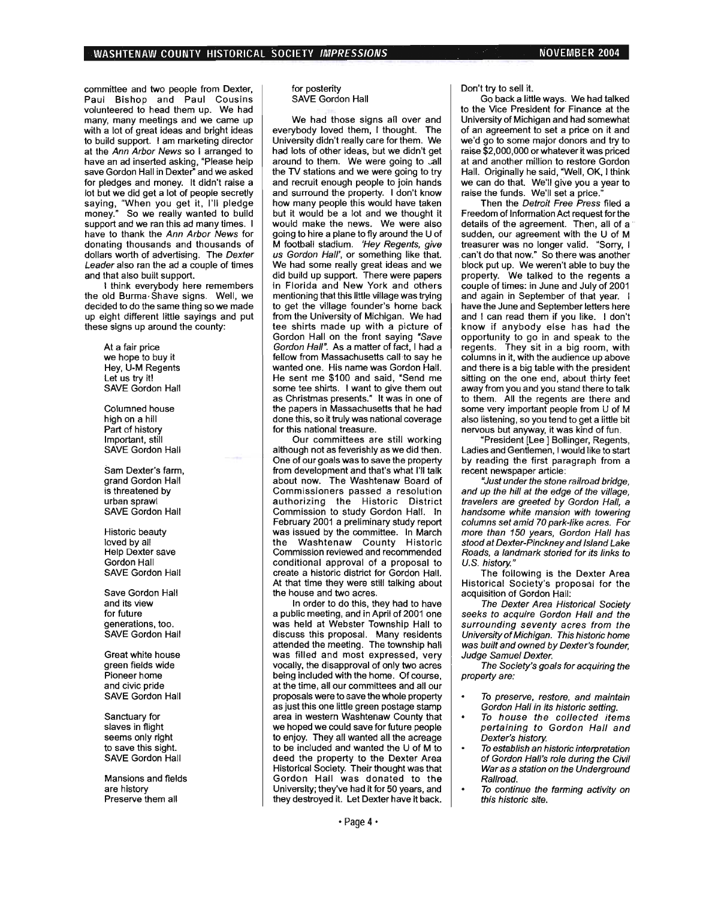committee and two people from Dexter, Paul Bishop and Paul Cousins volunteered to head them up. We had many, many meetings and we came up with a lot of great ideas and bright ideas to build support. I am marketing director at the Ann Arbor News so I arranged to have an ad inserted asking, "Please help save Gordon Hall in Dexter" and we asked for pledges and money. It didn't raise a lot but we did get a lot of people secretly saying, "When you get it, I'll pledge money." So we really wanted to build support and we ran this ad many times. I have to thank the Ann Arbor News for donating thousands and 'thousands of dollars worth of advertising. The Dexter Leader also ran the ad a couple of times and that also built support.

I think everybody here remembers the old Burma Shave signs. Well, we decided to do the same thing so we made up eight different little sayings and put these signs up around the county:

> At a fair price we hope to buy it Hey, U-M Regents Let us try it! SAVE Gordon Hall

Columned house high on a hill Part of history Important, still SAVE Gordon Hall

Sam Dexter's farm, grand Gordon Hall is threatened by urban sprawl SAVE Gordon Hall

Historic beauty loved by all Help Dexter save Gordon Hall SAVE Gordon Hall

Save Gordon Hall and its view for future generations, too. SAVE Gordon Hall

Great white house green fields wide Pioneer home and civic pride SAVE Gordon Hall

Sanctuary for slaves in flight seems only right to save this sight. SAVE Gordon Hall

Mansions and fields are history Preserve them all

#### for posterity SAVE Gordon Hall

We had those signs all over and everybody loved them, I thought. The University didn't really care for them. We had lots of other ideas, but we didn't get around to them. We were going to call the TV stations and we were going to try and recruit enough people to join hands and surround the property. I don't know how many people this would have taken but it would be a lot and we thought it would make the news. We were also going to hire a plane to fly around the U of M football stadium. 'Hey Regents, give us Gordon Hall', or something like that. We had some really great ideas and we did build up support. There were papers in Florida and New York and others mentioning that this little village was trying to get the village founder's home back from the University of Michigan. We had tee shirts made up with a picture of Gordon Hall on the front saying "Save Gordon Hall". As a matter of fact, I had a fellow from Massachusetts call to say he wanted one. His name was Gordon Hall. He sent me \$100 and said, "Send me some tee shirts. I want to give them out as Christmas presents." It was in one of the papers in Massachusetts that he had done this, so it truly was national coverage for this national treasure.

Our committees are still working although not as feverishly as we did then. One of our goals was to save the property from development and that's what I'll talk about now. The Washtenaw Board of Commissioners passed a resolution authorizing the Historic District Commission to study Gordon Hall. In February 2001 a preliminary study report was issued by the committee. In March the Washtenaw County Historic Commission reviewed and recommended conditional approval of a proposal to create a historic district for Gordon Hall. At that time they were still talking about the house and two acres.

In order to do this, they had to have a public meeting, and in April of 2001 one was held at Webster Township Hall to discuss this proposal. Many residents attended the meeting. The township hall was filled and most expressed, very vocally, the disapproval of only two acres being included with the home. Of course, at the time, all our committees and all our proposals were to save the whole property as just this one little green postage stamp area in western Washtenaw County that we hoped we could save for future people to enjoy. They all wanted all the acreage to be included and wanted the U of M to deed the property to the Dexter Area Historical Society. Their thought was that Gordon Hall was donated to the University; they've had it for 50 years, and they destroyed it. Let Dexter have it back.

Don't try to sell it.

Go back a little ways. We had talked to the Vice President for Finance at the University of Michigan and had somewhat of an agreement to set a price on it and we'd go to some major donors and try to raise \$2,000,000 or whatever it was priced at and another million to restore Gordon Hall. Originally he said, "Well, OK, I think we can do that. We'll give you a year to raise the funds. We'll set a price:

Then the Detroit Free Press filed a Freedom of Information Act request for the details of the agreement. Then, all of a sudden, our agreement with the U of M treasurer was no longer valid. "Sorry, I can't do that now." So there was another block put up. We weren't able to buy the property. We talked to the regents a couple of times: in June and July of 2001 and again in September of that year. I have the June and September letters here and I can read them if you like. I don't know if anybody else has had the opportunity to go in and speak to the regents. They sit in a big room, with columns in it, with the audience up above and there is a big table with the president sitting on the one end, about thirty feet away from you and you stand there to talk to them. All the regents are there and some very important people from U of M also listening, so you tend to get a little bit nervous but anyway, it was kind of fun.

"President [Lee] Bollinger, Regents, Ladies and Gentlemen, I would like to start by reading the first paragraph from a recent newspaper article:

"Just under the stone railroad bridge, and up the hill at the edge of the village, travelers are greeted by Gordon Hall, a handsome white mansion with towering columns set amid 70park-like acres. For more than 150 years, Gordon Hall has stood at Dexter-Pinckney and Island Lake Roads, a landmark storied for its links to U.S. history."

The following is the Dexter Area Historical Society's proposal for the acquisition of Gordon Hall:

The Dexter Area Historical Society seeks to acquire Gordon Hall and the surrounding seventy acres from the University of Michigan. This historic home was built and owned by Dexter's founder, Judge Samuel Dexter.

The Society's goals for acquiring the property are:

- To preserve, restore, and maintain Gordon Hall in its historic setting.
- To house the collected items pertaining to Gordon Hall and Dexter's history.
- To establish an historic interpretation of Gordon Hall's role during the Civil War as a station on the Underground Railroad.
- To continue the farming activity on this historic site.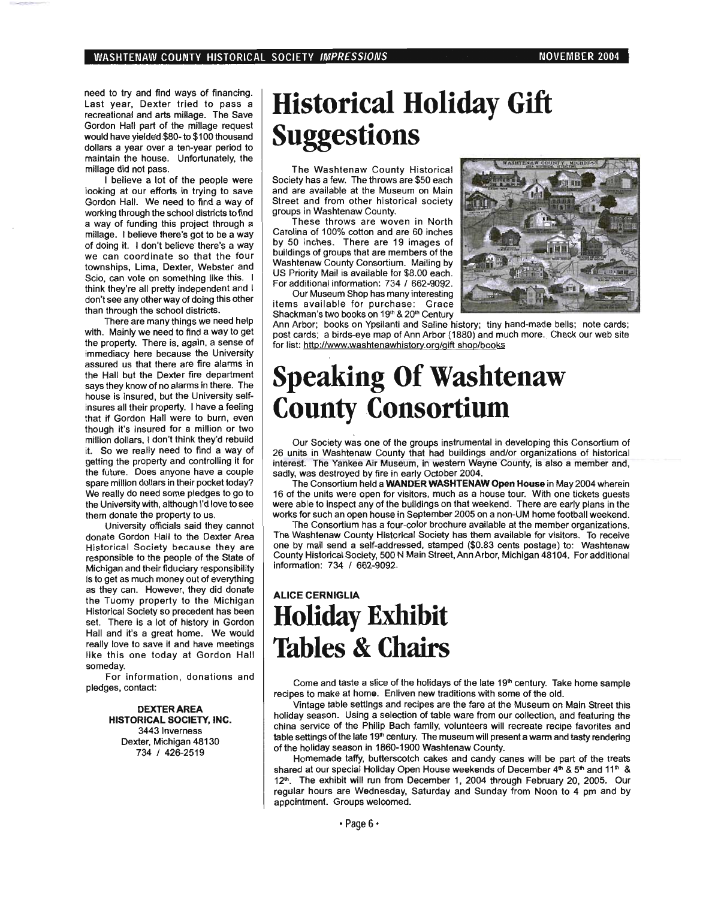need to try and find ways of financing. Last year, Dexter tried to pass a recreational and arts millage. The Save Gordon Hall part of the millage request would have yielded \$80- to \$100 thousand dollars a year over a ten-year period to maintain the house. Unfortunately, the millage did not pass.

I believe a lot of the people were looking at our efforts in trying to save Gordon Hall. We need to find a way of working through the school districts to find a way of funding this project through a millage. I believe there's got to be a way of dOing it. I don't believe' there's a way we can coordinate so that the four townships, Lima, Dexter, Webster and Scio, can vote on something like this. I think they're all pretty independent and I don't see any other way of doing this other than through the school districts.

There are many things we need help with. Mainly we need to find a way to get the property. There is, again, a sense of immediacy here because the University assured us that there are fire alarms in the Hall but the Dexter fire department says they know of no alarms in there. The house is insured, but the University selfinsures all their property. I have a feeling that if Gordon Hall were to burn, even though it's insured for a million or two million dollars, I don't think they'd rebuild it. So we really need to find a way of getting the property and controlling it for the future. Does anyone have a couple spare million dollars in their pocket today? We really do need some pledges to go to the University with, although I'd love to see them donate the property to us.

University officials said they cannot· donate Gordon Hall to the Dexter Area Historical Society because they are responsible to the people of the State of Michigan and their fiduciary responsibility is to get as much money out of everything as they can. However, they did donate the Tuomy property to the Michigan Historical Society so precedent has been set. There is a lot of history in Gordon Hall and it's a great home. We would really love to save it and have meetings like this one today at Gordon Hall someday.

For information, donations and pledges, contact:

> DEXTER AREA **HISTORICAL SOCIETY, INC.**  3443 Inverness Dexter, Michigan 48130 734 I 426-2519

## **Historical Holiday Gift Suggestions**

The Washtenaw County Historical Society has a few. The throws are \$50 each and are available at the Museum on Main Street and from other historical society groups in Washtenaw County.

These throws are woven in North Carolina of 100% cotton and are 60 inches by 50 inches. There are 19 images of buildings of groups that are members of the Washtenaw County Consortium. Mailing by US Priority Mail is available for \$8.00 each. For additional information: 734 / 662-9092.

Our Museum Shop has many interesting items available for purchase: Grace Shackman's two books on 19<sup>th</sup> & 20<sup>th</sup> Century



Ann Arbor; books on Ypsilanti and Saline history; tiny hand-made bells; note cards; post cards; a birds-eye map of Ann Arbor (1880) and much more. Check our web site for list: http://www.washtenawhistorv.org/gift shop/books

## **Speaking Of Washtenaw County Consortium**

Our Society was one of the groups instrumental in developing this Consortium of 26 units in Washtenaw County that had buildings and/or organizations of historical interest. The Yankee Air Museum, in western Wayne County, is also a member and, sadly, was destroyed by fire in early October 2004.

The Consortium held a **WANDER WASHTENAW Open House** in May 2004 wherein 16 of the units were open for visitors, much as a house tour. With one tickets guests were able to inspect any of the buildings on that weekend. There are early plans in the works fot such an open house in September 2005 on a non-UM home football weekend.

The Consortium has a four-color brochure available at the member organizations. The Washtenaw County Historical Society has them available for visitors. To receive one by mail send a self-addressed, stamped (\$0.83 cents postage) to: Washtenaw County Historical Society, 500 N Main Street, Ann Arbor, Michigan 48104. For additional information: 734 / 662-9092.

### **ALICE CERNIGLIA Holiday Exhibit Tables & Chairs**

Come and taste a slice of the holidays of the late  $19<sup>th</sup>$  century. Take home sample recipes to make at home. Enliven new traditions with some of the old.

Vintage table settings and recipes are the fare at the Museum on Main Street this holiday season. Using a selection of table ware from our collection, and featuring the china service of the Philip Bach family, volunteers will recreate recipe favorites and table settings of the late 19<sup>th</sup> century. The museum will present a warm and tasty rendering of the holiday season in 1860-1900 Washtenaw County.

Homemade taffy, butterscotch cakes and candy canes will be part of the treats shared at our special Holiday Open House weekends of December 4th & 5th and 11th & 12<sup>th</sup>. The exhibit will run from December 1, 2004 through February 20, 2005. Our regular hours are Wednesday, Saturday and Sunday from Noon to 4 pm and by appointment. Groups welcomed.